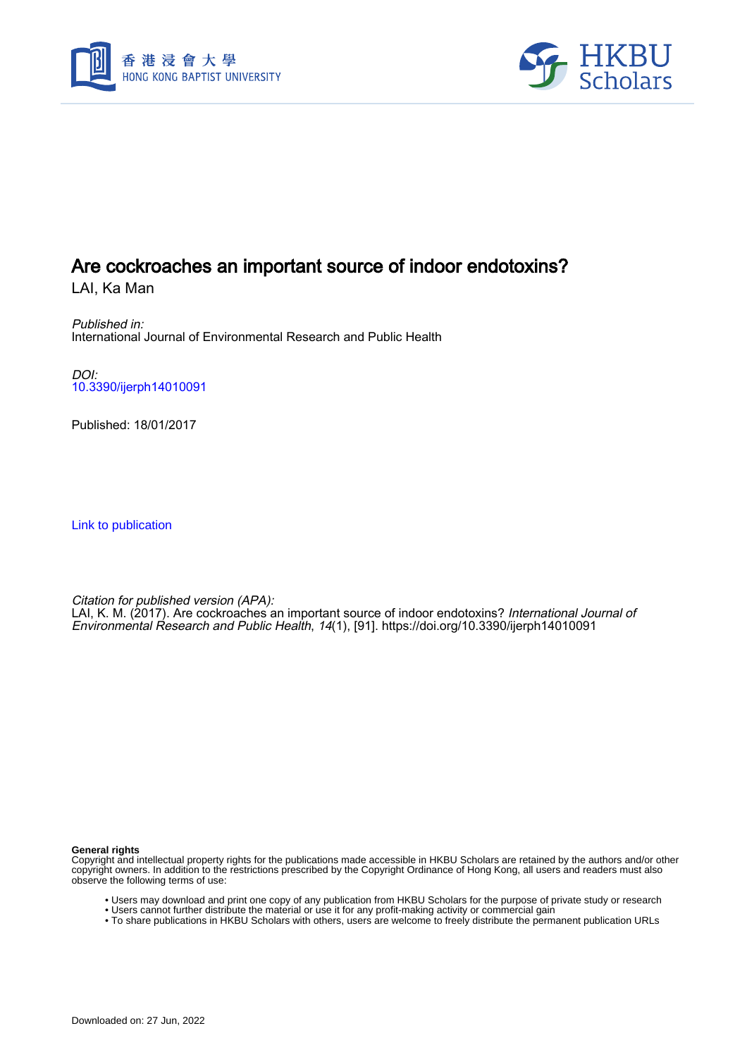



# Are cockroaches an important source of indoor endotoxins?

LAI, Ka Man

Published in: International Journal of Environmental Research and Public Health

DOI: [10.3390/ijerph14010091](https://doi.org/10.3390/ijerph14010091)

Published: 18/01/2017

[Link to publication](https://scholars.hkbu.edu.hk/en/publications/a8e6fc7d-eb58-4467-b1c0-65c25ab1f47c)

Citation for published version (APA):

LAI, K. M. (2017). Are cockroaches an important source of indoor endotoxins? *International Journal of* Environmental Research and Public Health, 14(1), [91].<https://doi.org/10.3390/ijerph14010091>

**General rights**

Copyright and intellectual property rights for the publications made accessible in HKBU Scholars are retained by the authors and/or other copyright owners. In addition to the restrictions prescribed by the Copyright Ordinance of Hong Kong, all users and readers must also observe the following terms of use:

- Users may download and print one copy of any publication from HKBU Scholars for the purpose of private study or research
- Users cannot further distribute the material or use it for any profit-making activity or commercial gain
- To share publications in HKBU Scholars with others, users are welcome to freely distribute the permanent publication URLs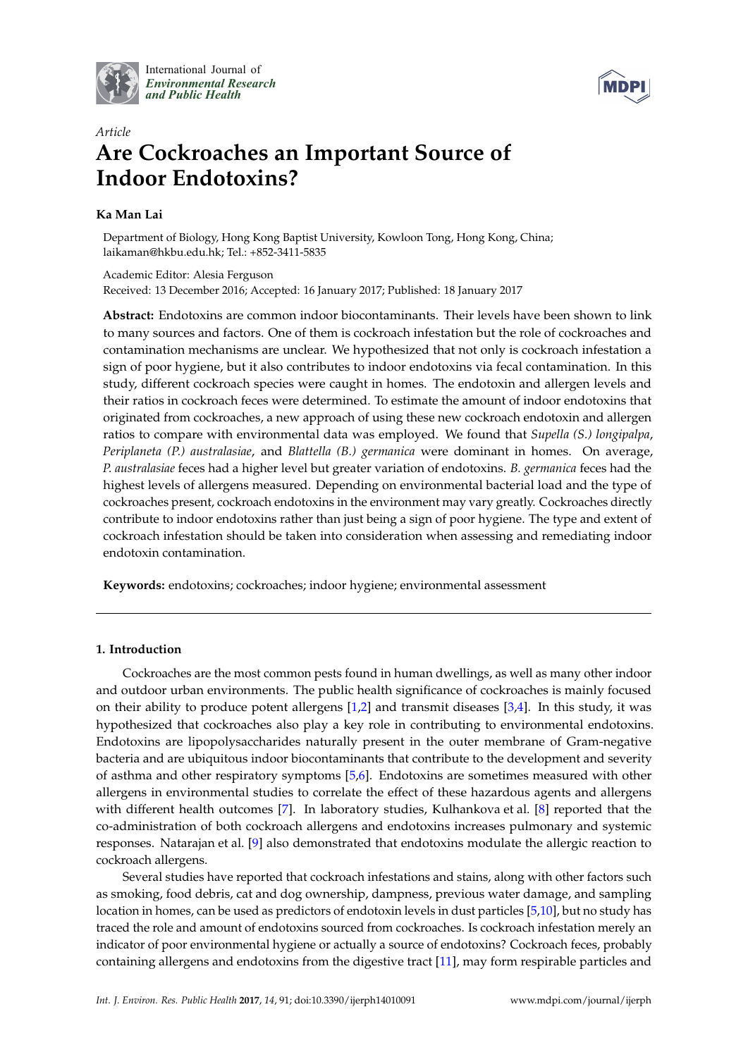

International Journal of *[Environmental Research](http://www.mdpi.com/journal/ijerph) and Public Health*



# *Article* **Are Cockroaches an Important Source of Indoor Endotoxins?**

# **Ka Man Lai**

Department of Biology, Hong Kong Baptist University, Kowloon Tong, Hong Kong, China; laikaman@hkbu.edu.hk; Tel.: +852-3411-5835

Academic Editor: Alesia Ferguson Received: 13 December 2016; Accepted: 16 January 2017; Published: 18 January 2017

**Abstract:** Endotoxins are common indoor biocontaminants. Their levels have been shown to link to many sources and factors. One of them is cockroach infestation but the role of cockroaches and contamination mechanisms are unclear. We hypothesized that not only is cockroach infestation a sign of poor hygiene, but it also contributes to indoor endotoxins via fecal contamination. In this study, different cockroach species were caught in homes. The endotoxin and allergen levels and their ratios in cockroach feces were determined. To estimate the amount of indoor endotoxins that originated from cockroaches, a new approach of using these new cockroach endotoxin and allergen ratios to compare with environmental data was employed. We found that *Supella (S.) longipalpa*, *Periplaneta (P.) australasiae*, and *Blattella (B.) germanica* were dominant in homes. On average, *P. australasiae* feces had a higher level but greater variation of endotoxins. *B. germanica* feces had the highest levels of allergens measured. Depending on environmental bacterial load and the type of cockroaches present, cockroach endotoxins in the environment may vary greatly. Cockroaches directly contribute to indoor endotoxins rather than just being a sign of poor hygiene. The type and extent of cockroach infestation should be taken into consideration when assessing and remediating indoor endotoxin contamination.

**Keywords:** endotoxins; cockroaches; indoor hygiene; environmental assessment

## **1. Introduction**

Cockroaches are the most common pests found in human dwellings, as well as many other indoor and outdoor urban environments. The public health significance of cockroaches is mainly focused on their ability to produce potent allergens  $[1,2]$  and transmit diseases  $[3,4]$ . In this study, it was hypothesized that cockroaches also play a key role in contributing to environmental endotoxins. Endotoxins are lipopolysaccharides naturally present in the outer membrane of Gram-negative bacteria and are ubiquitous indoor biocontaminants that contribute to the development and severity of asthma and other respiratory symptoms [5,6]. Endotoxins are sometimes measured with other allergens in environmental studies to correlate the effect of these hazardous agents and allergens with different health outcomes [7]. In laboratory studies, Kulhankova et al. [8] reported that the co-administration of both cockroach allergens and endotoxins increases pulmonary and systemic responses. Natarajan et al. [9] also demonstrated that endotoxins modulate the allergic reaction to cockroach allergens.

Several studies have reported that cockroach infestations and stains, along with other factors such as smoking, food debris, cat and dog ownership, dampness, previous water damage, and sampling location in homes, can be used as predictors of endotoxin levels in dust particles [5,10], but no study has traced the role and amount of endotoxins sourced from cockroaches. Is cockroach infestation merely an indicator of poor environmental hygiene or actually a source of endotoxins? Cockroach feces, probably containing allergens and endotoxins from the digestive tract [11], may form respirable particles and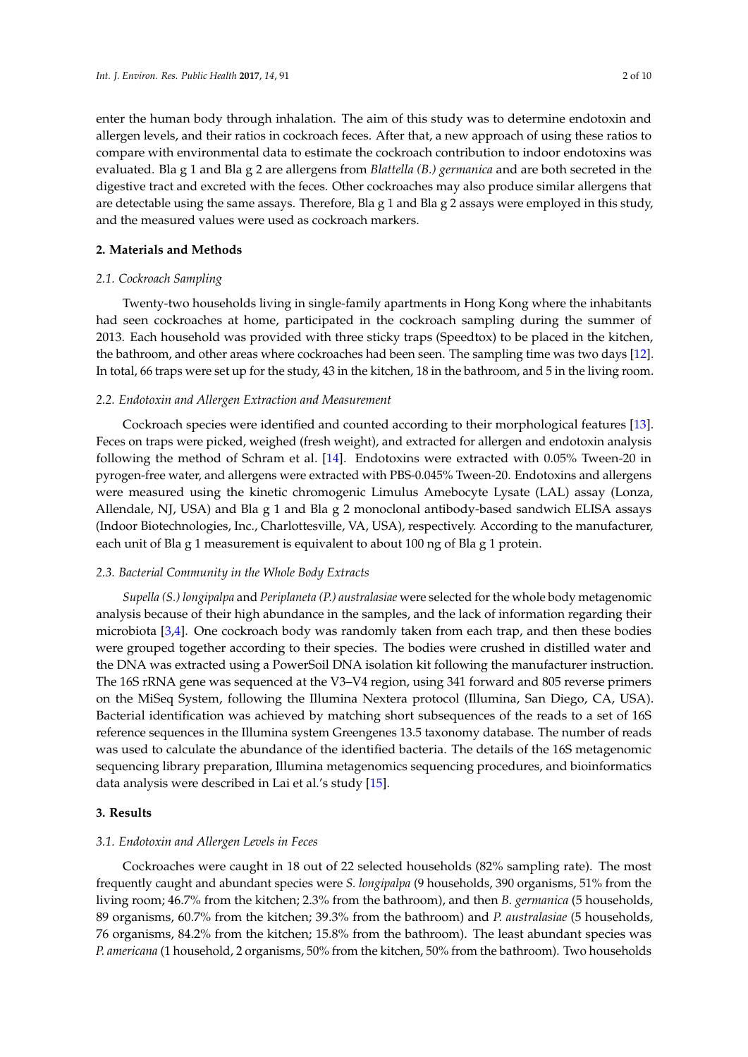enter the human body through inhalation. The aim of this study was to determine endotoxin and allergen levels, and their ratios in cockroach feces. After that, a new approach of using these ratios to compare with environmental data to estimate the cockroach contribution to indoor endotoxins was evaluated. Bla g 1 and Bla g 2 are allergens from *Blattella (B.) germanica* and are both secreted in the digestive tract and excreted with the feces. Other cockroaches may also produce similar allergens that are detectable using the same assays. Therefore, Bla g 1 and Bla g 2 assays were employed in this study, and the measured values were used as cockroach markers.

## **2. Materials and Methods**

## *2.1. Cockroach Sampling*

Twenty-two households living in single-family apartments in Hong Kong where the inhabitants had seen cockroaches at home, participated in the cockroach sampling during the summer of 2013. Each household was provided with three sticky traps (Speedtox) to be placed in the kitchen, the bathroom, and other areas where cockroaches had been seen. The sampling time was two days [12]. In total, 66 traps were set up for the study, 43 in the kitchen, 18 in the bathroom, and 5 in the living room.

## *2.2. Endotoxin and Allergen Extraction and Measurement*

Cockroach species were identified and counted according to their morphological features [13]. Feces on traps were picked, weighed (fresh weight), and extracted for allergen and endotoxin analysis following the method of Schram et al. [14]. Endotoxins were extracted with 0.05% Tween-20 in pyrogen-free water, and allergens were extracted with PBS-0.045% Tween-20. Endotoxins and allergens were measured using the kinetic chromogenic Limulus Amebocyte Lysate (LAL) assay (Lonza, Allendale, NJ, USA) and Bla g 1 and Bla g 2 monoclonal antibody-based sandwich ELISA assays (Indoor Biotechnologies, Inc., Charlottesville, VA, USA), respectively. According to the manufacturer, each unit of Bla g 1 measurement is equivalent to about 100 ng of Bla g 1 protein.

## *2.3. Bacterial Community in the Whole Body Extracts*

*Supella (S.) longipalpa* and *Periplaneta (P.) australasiae* were selected for the whole body metagenomic analysis because of their high abundance in the samples, and the lack of information regarding their microbiota [3,4]. One cockroach body was randomly taken from each trap, and then these bodies were grouped together according to their species. The bodies were crushed in distilled water and the DNA was extracted using a PowerSoil DNA isolation kit following the manufacturer instruction. The 16S rRNA gene was sequenced at the V3–V4 region, using 341 forward and 805 reverse primers on the MiSeq System, following the Illumina Nextera protocol (Illumina, San Diego, CA, USA). Bacterial identification was achieved by matching short subsequences of the reads to a set of 16S reference sequences in the Illumina system Greengenes 13.5 taxonomy database. The number of reads was used to calculate the abundance of the identified bacteria. The details of the 16S metagenomic sequencing library preparation, Illumina metagenomics sequencing procedures, and bioinformatics data analysis were described in Lai et al.'s study [15].

## **3. Results**

# *3.1. Endotoxin and Allergen Levels in Feces*

Cockroaches were caught in 18 out of 22 selected households (82% sampling rate). The most frequently caught and abundant species were *S. longipalpa* (9 households, 390 organisms, 51% from the living room; 46.7% from the kitchen; 2.3% from the bathroom), and then *B. germanica* (5 households, 89 organisms, 60.7% from the kitchen; 39.3% from the bathroom) and *P. australasiae* (5 households, 76 organisms, 84.2% from the kitchen; 15.8% from the bathroom). The least abundant species was *P. americana* (1 household, 2 organisms, 50% from the kitchen, 50% from the bathroom). Two households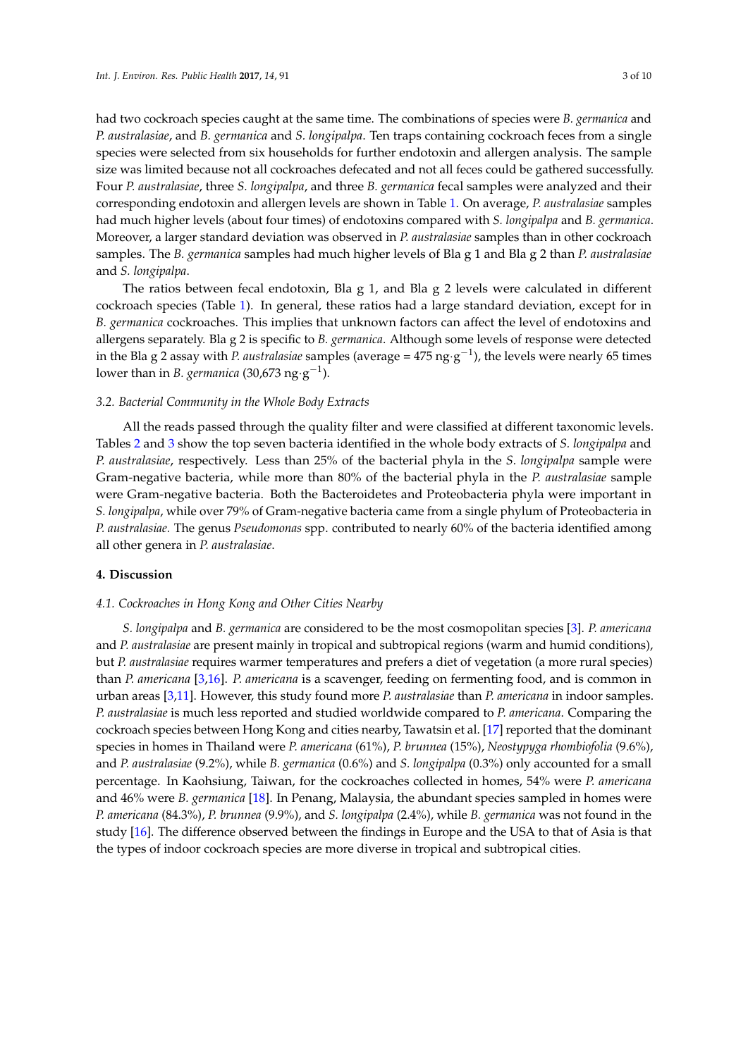had two cockroach species caught at the same time. The combinations of species were *B. germanica* and *P. australasiae*, and *B. germanica* and *S. longipalpa*. Ten traps containing cockroach feces from a single species were selected from six households for further endotoxin and allergen analysis. The sample size was limited because not all cockroaches defecated and not all feces could be gathered successfully. Four *P. australasiae*, three *S. longipalpa*, and three *B. germanica* fecal samples were analyzed and their corresponding endotoxin and allergen levels are shown in Table 1. On average, *P. australasiae* samples had much higher levels (about four times) of endotoxins compared with *S. longipalpa* and *B. germanica*. Moreover, a larger standard deviation was observed in *P. australasiae* samples than in other cockroach samples. The *B. germanica* samples had much higher levels of Bla g 1 and Bla g 2 than *P. australasiae* and *S. longipalpa*.

The ratios between fecal endotoxin, Bla g 1, and Bla g 2 levels were calculated in different cockroach species (Table 1). In general, these ratios had a large standard deviation, except for in *B. germanica* cockroaches. This implies that unknown factors can affect the level of endotoxins and allergens separately. Bla g 2 is specific to *B. germanica*. Although some levels of response were detected in the Bla g 2 assay with *P. australasiae* samples (average =  $475$  ng·g<sup>-1</sup>), the levels were nearly 65 times lower than in *B. germanica* (30,673 ng·g<sup>-1</sup>).

#### *3.2. Bacterial Community in the Whole Body Extracts*

All the reads passed through the quality filter and were classified at different taxonomic levels. Tables 2 and 3 show the top seven bacteria identified in the whole body extracts of *S. longipalpa* and *P. australasiae*, respectively. Less than 25% of the bacterial phyla in the *S. longipalpa* sample were Gram-negative bacteria, while more than 80% of the bacterial phyla in the *P. australasiae* sample were Gram-negative bacteria. Both the Bacteroidetes and Proteobacteria phyla were important in *S. longipalpa*, while over 79% of Gram-negative bacteria came from a single phylum of Proteobacteria in *P. australasiae.* The genus *Pseudomonas* spp. contributed to nearly 60% of the bacteria identified among all other genera in *P. australasiae*.

## **4. Discussion**

#### *4.1. Cockroaches in Hong Kong and Other Cities Nearby*

*S. longipalpa* and *B. germanica* are considered to be the most cosmopolitan species [3]. *P. americana* and *P. australasiae* are present mainly in tropical and subtropical regions (warm and humid conditions), but *P. australasiae* requires warmer temperatures and prefers a diet of vegetation (a more rural species) than *P. americana* [3,16]. *P. americana* is a scavenger, feeding on fermenting food, and is common in urban areas [3,11]. However, this study found more *P. australasiae* than *P. americana* in indoor samples. *P. australasiae* is much less reported and studied worldwide compared to *P. americana*. Comparing the cockroach species between Hong Kong and cities nearby, Tawatsin et al. [17] reported that the dominant species in homes in Thailand were *P. americana* (61%), *P. brunnea* (15%), *Neostypyga rhombiofolia* (9.6%), and *P. australasiae* (9.2%), while *B. germanica* (0.6%) and *S. longipalpa* (0.3%) only accounted for a small percentage. In Kaohsiung, Taiwan, for the cockroaches collected in homes, 54% were *P. americana* and 46% were *B. germanica* [18]. In Penang, Malaysia, the abundant species sampled in homes were *P. americana* (84.3%), *P. brunnea* (9.9%), and *S. longipalpa* (2.4%), while *B. germanica* was not found in the study [16]. The difference observed between the findings in Europe and the USA to that of Asia is that the types of indoor cockroach species are more diverse in tropical and subtropical cities.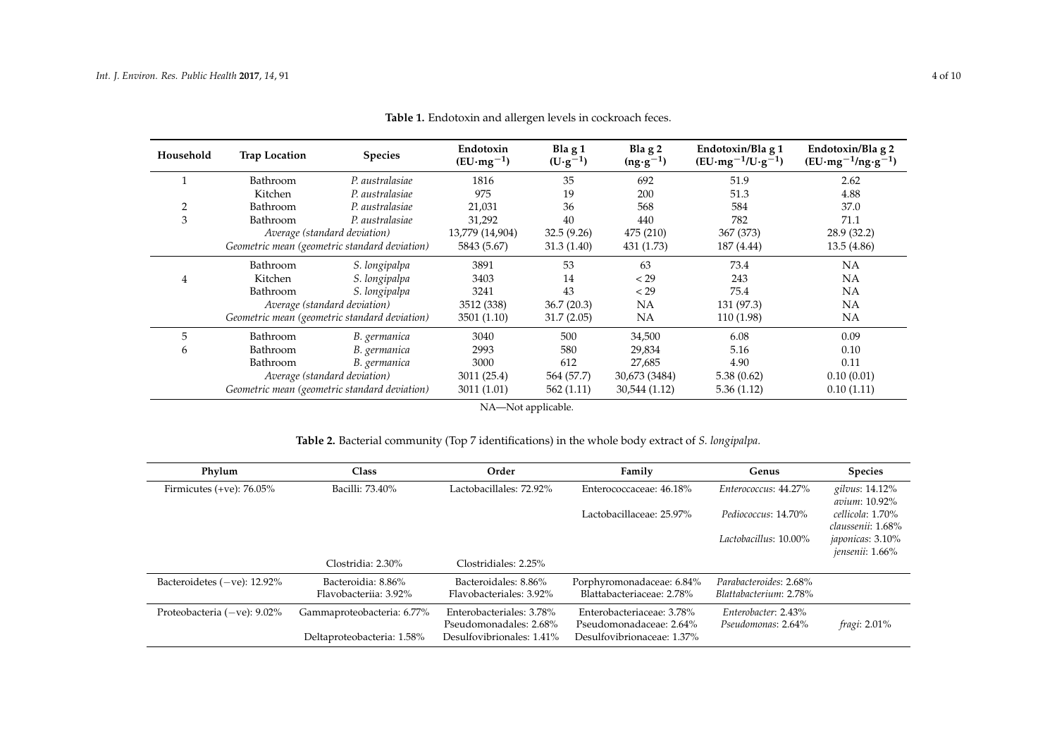| Household      | <b>Trap Location</b> | <b>Species</b>                                | Endotoxin<br>$(EU·mg-1)$ | Bla $g_1$<br>$(U \cdot g^{-1})$ | Bla $g2$<br>$(ng \cdot g^{-1})$ | Endotoxin/Bla g 1<br>$(EU·mg-1/U·g-1)$ | Endotoxin/Bla g 2<br>$(EU·mg-1/ng·g-1)$ |
|----------------|----------------------|-----------------------------------------------|--------------------------|---------------------------------|---------------------------------|----------------------------------------|-----------------------------------------|
|                | Bathroom             | P. australasiae                               | 1816                     | 35                              | 692                             | 51.9                                   | 2.62                                    |
|                | Kitchen              | P. australasiae                               | 975                      | 19                              | 200                             | 51.3                                   | 4.88                                    |
| $\overline{2}$ | Bathroom             | P. australasiae                               | 21,031                   | 36                              | 568                             | 584                                    | 37.0                                    |
| 3              | Bathroom             | P. australasiae                               | 31,292                   | 40                              | 440                             | 782                                    | 71.1                                    |
|                |                      | Average (standard deviation)                  | 13,779 (14,904)          | 32.5(9.26)                      | 475 (210)                       | 367 (373)                              | 28.9(32.2)                              |
|                |                      | Geometric mean (geometric standard deviation) | 5843 (5.67)              | 31.3(1.40)                      | 431 (1.73)                      | 187 (4.44)                             | 13.5(4.86)                              |
|                | Bathroom             | S. longipalpa                                 | 3891                     | 53                              | 63                              | 73.4                                   | <b>NA</b>                               |
| 4              | Kitchen              | S. longipalpa                                 | 3403                     | 14                              | < 29                            | 243                                    | <b>NA</b>                               |
|                | Bathroom             | S. longipalpa                                 | 3241                     | 43                              | < 29                            | 75.4                                   | <b>NA</b>                               |
|                |                      | Average (standard deviation)                  | 3512 (338)               | 36.7(20.3)                      | NA                              | 131 (97.3)                             | NA                                      |
|                |                      | Geometric mean (geometric standard deviation) | 3501 (1.10)              | 31.7(2.05)                      | <b>NA</b>                       | 110 (1.98)                             | <b>NA</b>                               |
| 5              | Bathroom             | B. germanica                                  | 3040                     | 500                             | 34,500                          | 6.08                                   | 0.09                                    |
| 6              | Bathroom             | B. germanica                                  | 2993                     | 580                             | 29,834                          | 5.16                                   | 0.10                                    |
|                | Bathroom             | B. germanica                                  | 3000                     | 612                             | 27,685                          | 4.90                                   | 0.11                                    |
|                |                      | Average (standard deviation)                  | 3011 (25.4)              | 564 (57.7)                      | 30,673 (3484)                   | 5.38(0.62)                             | 0.10(0.01)                              |
|                |                      | Geometric mean (geometric standard deviation) | 3011 (1.01)              | 562(1.11)                       | 30,544 (1.12)                   | 5.36(1.12)                             | 0.10(1.11)                              |

**Table 1.** Endotoxin and allergen levels in cockroach feces.

NA-Not applicable.

| Table 2. Bacterial community (Top 7 identifications) in the whole body extract of S. longipalpa. |  |  |  |  |
|--------------------------------------------------------------------------------------------------|--|--|--|--|
|--------------------------------------------------------------------------------------------------|--|--|--|--|

| Phylum                         | Class                                       | Order                                              | Family                                                 | Genus                                            | <b>Species</b>                              |
|--------------------------------|---------------------------------------------|----------------------------------------------------|--------------------------------------------------------|--------------------------------------------------|---------------------------------------------|
| Firmicutes $(+ve)$ : 76.05%    | Bacilli: 73.40%                             | Lactobacillales: 72.92%                            | Enterococcaceae: 46.18%                                | Enterococcus: 44.27%                             | gilvus: 14.12%<br>avium: 10.92%             |
|                                |                                             |                                                    | Lactobacillaceae: 25.97%                               | Pediococcus: 14.70%                              | cellicola: 1.70%<br>claussenii: 1.68%       |
|                                |                                             |                                                    |                                                        | Lactobacillus: 10.00%                            | <i>japonicas</i> : 3.10%<br>jensenii: 1.66% |
|                                | Clostridia: 2.30%                           | Clostridiales: 2.25%                               |                                                        |                                                  |                                             |
| Bacteroidetes $(-ve)$ : 12.92% | Bacteroidia: 8.86%<br>Flavobacteriia: 3.92% | Bacteroidales: 8.86%<br>Flavobacteriales: 3.92%    | Porphyromonadaceae: 6.84%<br>Blattabacteriaceae: 2.78% | Parabacteroides: 2.68%<br>Blattabacterium: 2.78% |                                             |
| Proteobacteria $(-ve)$ : 9.02% | Gammaproteobacteria: 6.77%                  | Enterobacteriales: 3.78%<br>Pseudomonadales: 2.68% | Enterobacteriaceae: 3.78%<br>Pseudomonadaceae: 2.64%   | Enterobacter: 2.43%<br>Pseudomonas: 2.64%        | <i>fragi</i> : 2.01%                        |
|                                | Deltaproteobacteria: 1.58%                  | Desulfovibrionales: 1.41%                          | Desulfovibrionaceae: 1.37%                             |                                                  |                                             |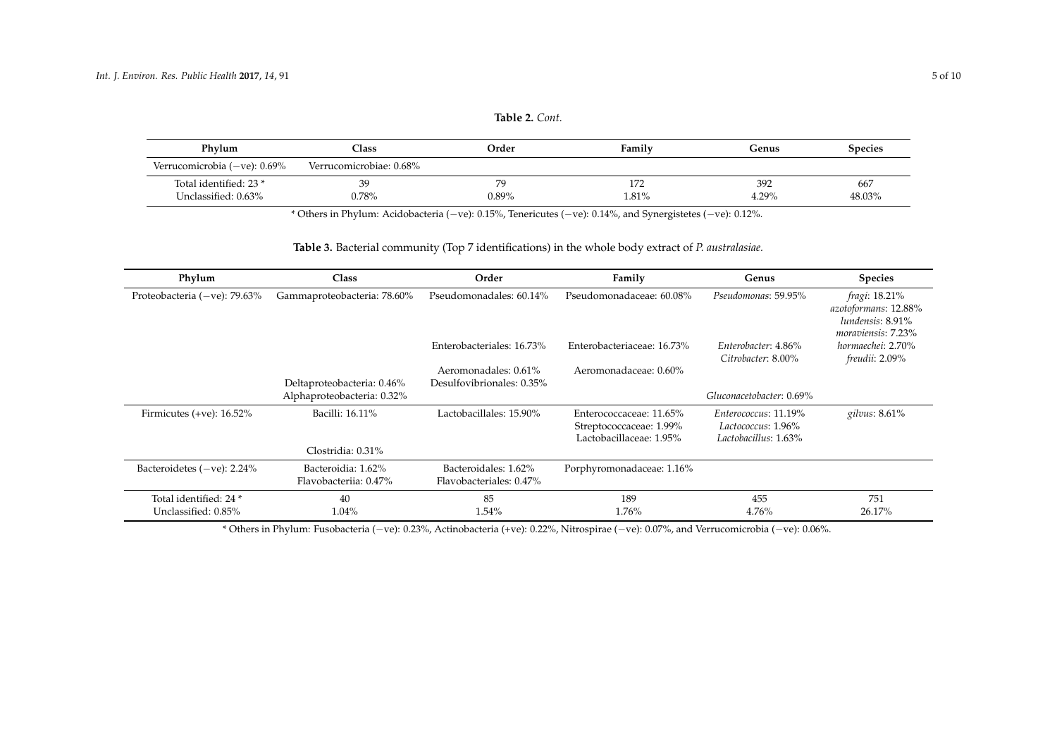| Phylum                           | $\bigcap$ ass           | Order | Family | Genus | <b>Species</b> |
|----------------------------------|-------------------------|-------|--------|-------|----------------|
| Verrucomicrobia ( $-$ ve): 0.69% | Verrucomicrobiae: 0.68% |       |        |       |                |
| Total identified: 23 *           | 39                      |       | 172    | 392   | 667            |
| Unclassified: 0.63%              | 0.78%                   | 0.89% | 1.81%  | 4.29% | 48.03%         |

\* Others in Phylum: Acidobacteria (−ve): 0.15%, Tenericutes (−ve): 0.14%, and Synergistetes (−ve): 0.12%.

# **Table 3.** Bacterial community (Top 7 identifications) in the whole body extract of *P. australasiae.*

| Phylum                           | <b>Class</b>                                | Order                                           | Family                     | Genus                                     | <b>Species</b>                                                                  |
|----------------------------------|---------------------------------------------|-------------------------------------------------|----------------------------|-------------------------------------------|---------------------------------------------------------------------------------|
| Proteobacteria ( $-ve$ ): 79.63% | Gammaproteobacteria: 78.60%                 | Pseudomonadales: 60.14%                         | Pseudomonadaceae: 60.08%   | Pseudomonas: 59.95%                       | fragi: 18.21%<br>azotoformans: 12.88%<br>lundensis: 8.91%<br>moraviensis: 7.23% |
|                                  |                                             | Enterobacteriales: 16.73%                       | Enterobacteriaceae: 16.73% | Enterobacter: 4.86%<br>Citrobacter: 8.00% | hormaechei: 2.70%<br>freudii: 2.09%                                             |
|                                  |                                             | Aeromonadales: 0.61%                            | Aeromonadaceae: 0.60%      |                                           |                                                                                 |
|                                  | Deltaproteobacteria: 0.46%                  | Desulfovibrionales: 0.35%                       |                            |                                           |                                                                                 |
|                                  | Alphaproteobacteria: 0.32%                  |                                                 |                            | Gluconacetobacter: 0.69%                  |                                                                                 |
| Firmicutes $(+ve)$ : 16.52%      | Bacilli: 16.11%                             | Lactobacillales: 15.90%                         | Enterococcaceae: 11.65%    | Enterococcus: 11.19%                      | gilvus: 8.61%                                                                   |
|                                  |                                             |                                                 | Streptococcaceae: 1.99%    | Lactococcus: 1.96%                        |                                                                                 |
|                                  |                                             |                                                 | Lactobacillaceae: 1.95%    | Lactobacillus: 1.63%                      |                                                                                 |
|                                  | Clostridia: 0.31%                           |                                                 |                            |                                           |                                                                                 |
| Bacteroidetes $(-ve)$ : 2.24%    | Bacteroidia: 1.62%<br>Flavobacteriia: 0.47% | Bacteroidales: 1.62%<br>Flavobacteriales: 0.47% | Porphyromonadaceae: 1.16%  |                                           |                                                                                 |
| Total identified: 24 *           | 40                                          | 85                                              | 189                        | 455                                       | 751                                                                             |
| Unclassified: 0.85%              | 1.04%                                       | 1.54%                                           | 1.76%                      | 4.76%                                     | 26.17%                                                                          |

\* Others in Phylum: Fusobacteria (−ve): 0.23%, Actinobacteria (+ve): 0.22%, Nitrospirae (−ve): 0.07%, and Verrucomicrobia (−ve): 0.06%.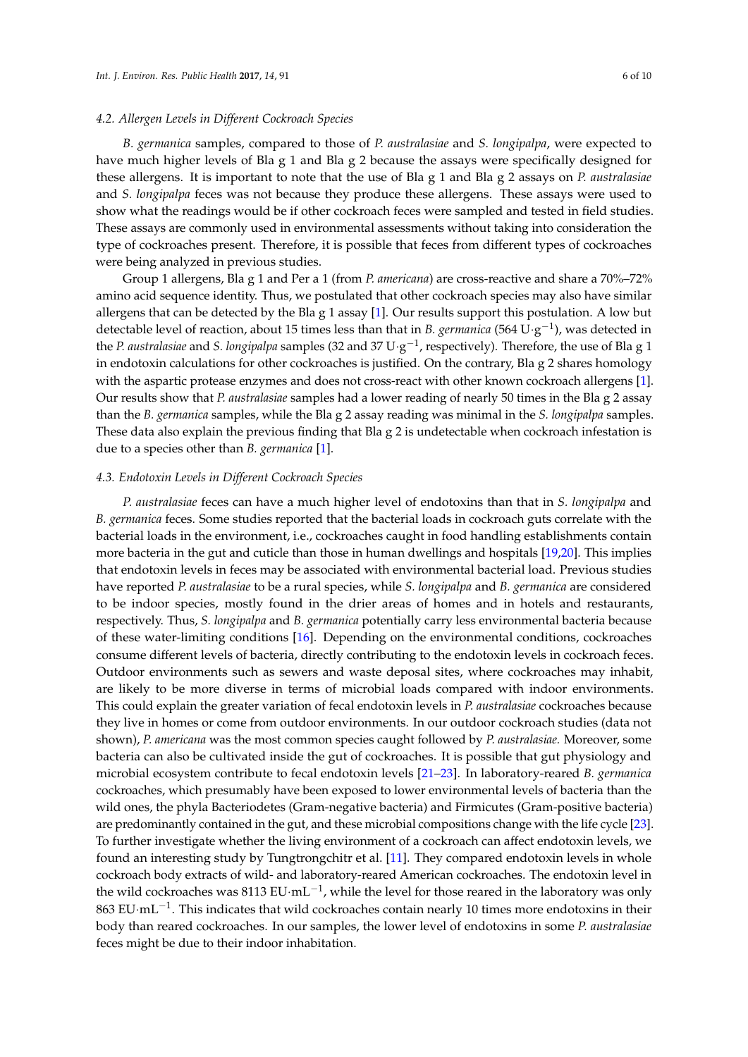#### *4.2. Allergen Levels in Different Cockroach Species*

*B. germanica* samples, compared to those of *P. australasiae* and *S. longipalpa*, were expected to have much higher levels of Bla g 1 and Bla g 2 because the assays were specifically designed for these allergens. It is important to note that the use of Bla g 1 and Bla g 2 assays on *P. australasiae* and *S. longipalpa* feces was not because they produce these allergens. These assays were used to show what the readings would be if other cockroach feces were sampled and tested in field studies. These assays are commonly used in environmental assessments without taking into consideration the type of cockroaches present. Therefore, it is possible that feces from different types of cockroaches were being analyzed in previous studies.

Group 1 allergens, Bla g 1 and Per a 1 (from *P. americana*) are cross-reactive and share a 70%–72% amino acid sequence identity. Thus, we postulated that other cockroach species may also have similar allergens that can be detected by the Bla g 1 assay [1]. Our results support this postulation. A low but detectable level of reaction, about 15 times less than that in *B. germanica* (564 U·g<sup>-1</sup>), was detected in the *P. australasiae* and *S. longipalpa* samples (32 and 37 U·g −1 , respectively). Therefore, the use of Bla g 1 in endotoxin calculations for other cockroaches is justified. On the contrary, Bla g 2 shares homology with the aspartic protease enzymes and does not cross-react with other known cockroach allergens [1]. Our results show that *P. australasiae* samples had a lower reading of nearly 50 times in the Bla g 2 assay than the *B. germanica* samples, while the Bla g 2 assay reading was minimal in the *S. longipalpa* samples. These data also explain the previous finding that Bla g 2 is undetectable when cockroach infestation is due to a species other than *B. germanica* [1].

#### *4.3. Endotoxin Levels in Different Cockroach Species*

*P. australasiae* feces can have a much higher level of endotoxins than that in *S. longipalpa* and *B. germanica* feces. Some studies reported that the bacterial loads in cockroach guts correlate with the bacterial loads in the environment, i.e., cockroaches caught in food handling establishments contain more bacteria in the gut and cuticle than those in human dwellings and hospitals [19,20]. This implies that endotoxin levels in feces may be associated with environmental bacterial load. Previous studies have reported *P. australasiae* to be a rural species, while *S. longipalpa* and *B. germanica* are considered to be indoor species, mostly found in the drier areas of homes and in hotels and restaurants, respectively. Thus, *S. longipalpa* and *B. germanica* potentially carry less environmental bacteria because of these water-limiting conditions [16]. Depending on the environmental conditions, cockroaches consume different levels of bacteria, directly contributing to the endotoxin levels in cockroach feces. Outdoor environments such as sewers and waste deposal sites, where cockroaches may inhabit, are likely to be more diverse in terms of microbial loads compared with indoor environments. This could explain the greater variation of fecal endotoxin levels in *P. australasiae* cockroaches because they live in homes or come from outdoor environments. In our outdoor cockroach studies (data not shown), *P. americana* was the most common species caught followed by *P. australasiae.* Moreover, some bacteria can also be cultivated inside the gut of cockroaches. It is possible that gut physiology and microbial ecosystem contribute to fecal endotoxin levels [21–23]. In laboratory-reared *B. germanica* cockroaches, which presumably have been exposed to lower environmental levels of bacteria than the wild ones, the phyla Bacteriodetes (Gram-negative bacteria) and Firmicutes (Gram-positive bacteria) are predominantly contained in the gut, and these microbial compositions change with the life cycle [23]. To further investigate whether the living environment of a cockroach can affect endotoxin levels, we found an interesting study by Tungtrongchitr et al. [11]. They compared endotoxin levels in whole cockroach body extracts of wild- and laboratory-reared American cockroaches. The endotoxin level in the wild cockroaches was  $8113$  EU $\cdot$ mL $^{-1}$ , while the level for those reared in the laboratory was only 863 EU·mL<sup>-1</sup>. This indicates that wild cockroaches contain nearly 10 times more endotoxins in their body than reared cockroaches. In our samples, the lower level of endotoxins in some *P. australasiae* feces might be due to their indoor inhabitation.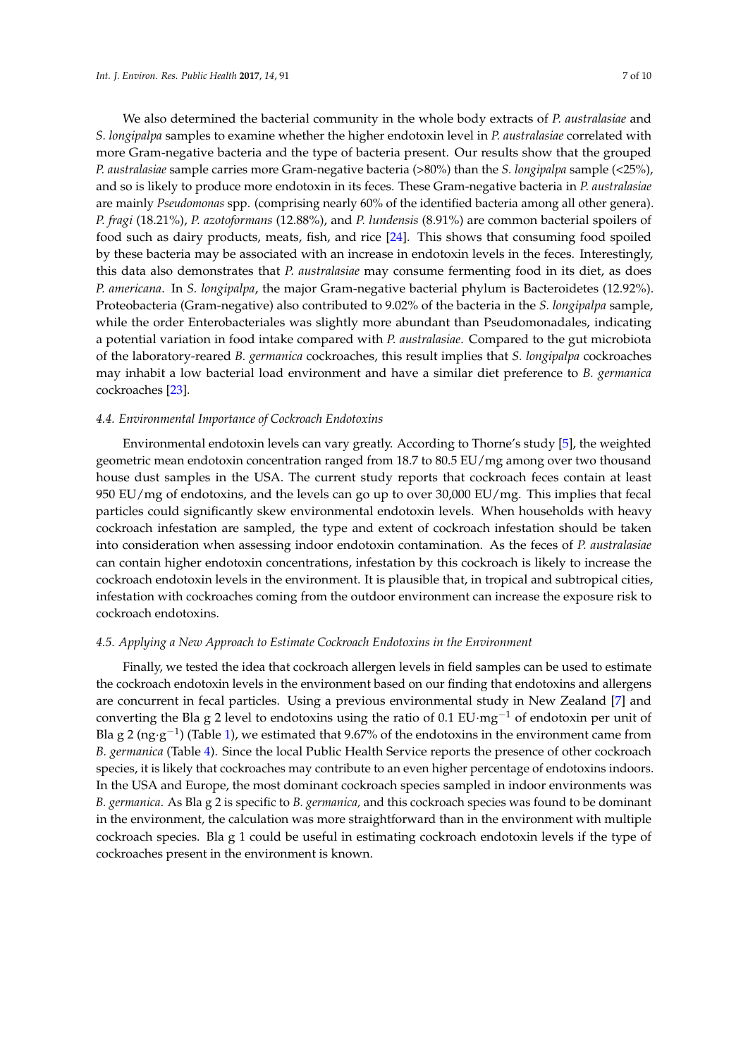We also determined the bacterial community in the whole body extracts of *P. australasiae* and *S. longipalpa* samples to examine whether the higher endotoxin level in *P. australasiae* correlated with more Gram-negative bacteria and the type of bacteria present. Our results show that the grouped *P. australasiae* sample carries more Gram-negative bacteria (>80%) than the *S. longipalpa* sample (<25%), and so is likely to produce more endotoxin in its feces. These Gram-negative bacteria in *P. australasiae* are mainly *Pseudomonas* spp. (comprising nearly 60% of the identified bacteria among all other genera). *P. fragi* (18.21%), *P. azotoformans* (12.88%), and *P. lundensis* (8.91%) are common bacterial spoilers of food such as dairy products, meats, fish, and rice [24]. This shows that consuming food spoiled by these bacteria may be associated with an increase in endotoxin levels in the feces. Interestingly, this data also demonstrates that *P. australasiae* may consume fermenting food in its diet, as does *P. americana*. In *S. longipalpa*, the major Gram-negative bacterial phylum is Bacteroidetes (12.92%). Proteobacteria (Gram-negative) also contributed to 9.02% of the bacteria in the *S. longipalpa* sample, while the order Enterobacteriales was slightly more abundant than Pseudomonadales, indicating a potential variation in food intake compared with *P. australasiae*. Compared to the gut microbiota of the laboratory-reared *B. germanica* cockroaches, this result implies that *S. longipalpa* cockroaches may inhabit a low bacterial load environment and have a similar diet preference to *B. germanica* cockroaches [23].

### *4.4. Environmental Importance of Cockroach Endotoxins*

Environmental endotoxin levels can vary greatly. According to Thorne's study [5], the weighted geometric mean endotoxin concentration ranged from 18.7 to 80.5 EU/mg among over two thousand house dust samples in the USA. The current study reports that cockroach feces contain at least 950 EU/mg of endotoxins, and the levels can go up to over 30,000 EU/mg. This implies that fecal particles could significantly skew environmental endotoxin levels. When households with heavy cockroach infestation are sampled, the type and extent of cockroach infestation should be taken into consideration when assessing indoor endotoxin contamination. As the feces of *P. australasiae* can contain higher endotoxin concentrations, infestation by this cockroach is likely to increase the cockroach endotoxin levels in the environment. It is plausible that, in tropical and subtropical cities, infestation with cockroaches coming from the outdoor environment can increase the exposure risk to cockroach endotoxins.

## *4.5. Applying a New Approach to Estimate Cockroach Endotoxins in the Environment*

Finally, we tested the idea that cockroach allergen levels in field samples can be used to estimate the cockroach endotoxin levels in the environment based on our finding that endotoxins and allergens are concurrent in fecal particles. Using a previous environmental study in New Zealand [7] and converting the Bla g 2 level to endotoxins using the ratio of 0.1 EU·mg−<sup>1</sup> of endotoxin per unit of Bla g 2 (ng·g<sup>-1</sup>) (Table 1), we estimated that 9.67% of the endotoxins in the environment came from *B. germanica* (Table 4). Since the local Public Health Service reports the presence of other cockroach species, it is likely that cockroaches may contribute to an even higher percentage of endotoxins indoors. In the USA and Europe, the most dominant cockroach species sampled in indoor environments was *B. germanica*. As Bla g 2 is specific to *B. germanica,* and this cockroach species was found to be dominant in the environment, the calculation was more straightforward than in the environment with multiple cockroach species. Bla g 1 could be useful in estimating cockroach endotoxin levels if the type of cockroaches present in the environment is known.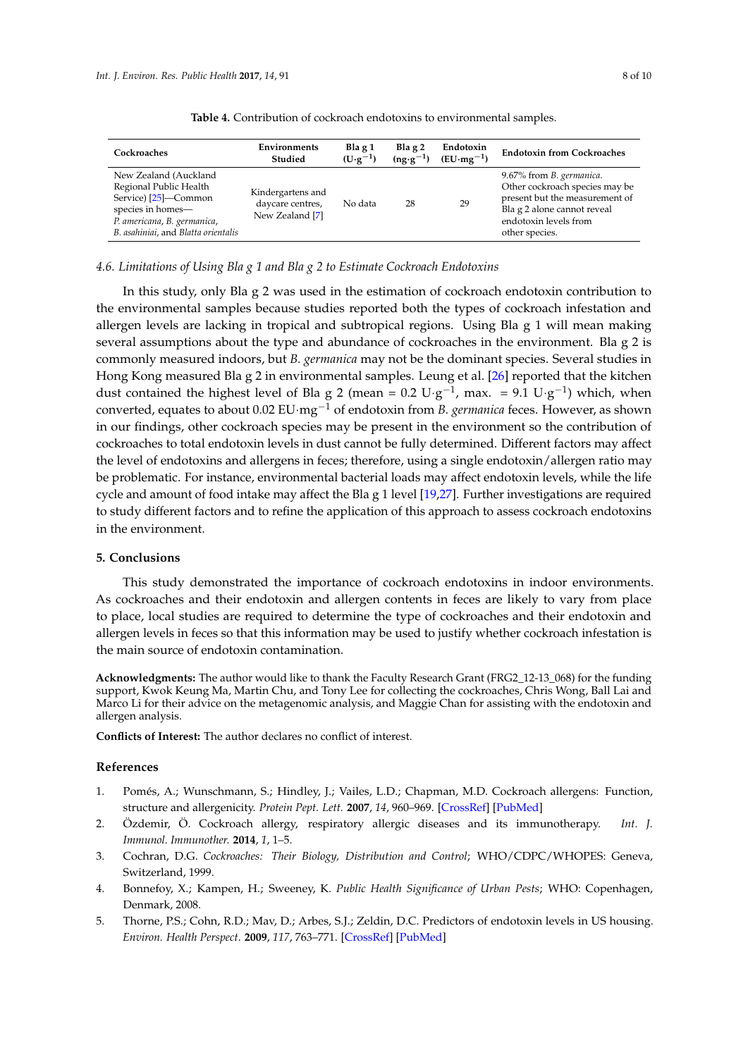| Cockroaches                                                                                                                                                        | Environments<br>Studied                                  | Bla $g_1$<br>$(U \cdot g^{-1})$ | Bla $g2$<br>$(ng \cdot g^{-1})$ | Endotoxin<br>$(EU·mg-1)$ | <b>Endotoxin from Cockroaches</b>                                                                                                                                              |
|--------------------------------------------------------------------------------------------------------------------------------------------------------------------|----------------------------------------------------------|---------------------------------|---------------------------------|--------------------------|--------------------------------------------------------------------------------------------------------------------------------------------------------------------------------|
| New Zealand (Auckland<br>Regional Public Health<br>Service) [25]-Common<br>species in homes-<br>P. americana, B. germanica,<br>B. asahiniai, and Blatta orientalis | Kindergartens and<br>daycare centres,<br>New Zealand [7] | No data                         | 28                              | 29                       | 9.67% from <i>B. germanica</i> .<br>Other cockroach species may be<br>present but the measurement of<br>Bla g 2 alone cannot reveal<br>endotoxin levels from<br>other species. |

**Table 4.** Contribution of cockroach endotoxins to environmental samples.

## *4.6. Limitations of Using Bla g 1 and Bla g 2 to Estimate Cockroach Endotoxins*

In this study, only Bla g 2 was used in the estimation of cockroach endotoxin contribution to the environmental samples because studies reported both the types of cockroach infestation and allergen levels are lacking in tropical and subtropical regions. Using Bla g 1 will mean making several assumptions about the type and abundance of cockroaches in the environment. Bla g 2 is commonly measured indoors, but *B. germanica* may not be the dominant species. Several studies in Hong Kong measured Bla g 2 in environmental samples. Leung et al. [26] reported that the kitchen dust contained the highest level of Bla g 2 (mean =  $0.2 \text{ U} \cdot \text{g}^{-1}$ , max. =  $9.1 \text{ U} \cdot \text{g}^{-1}$ ) which, when converted, equates to about 0.02 EU·mg−<sup>1</sup> of endotoxin from *B. germanica* feces. However, as shown in our findings, other cockroach species may be present in the environment so the contribution of cockroaches to total endotoxin levels in dust cannot be fully determined. Different factors may affect the level of endotoxins and allergens in feces; therefore, using a single endotoxin/allergen ratio may be problematic. For instance, environmental bacterial loads may affect endotoxin levels, while the life cycle and amount of food intake may affect the Bla g 1 level [19,27]. Further investigations are required to study different factors and to refine the application of this approach to assess cockroach endotoxins in the environment.

## **5. Conclusions**

This study demonstrated the importance of cockroach endotoxins in indoor environments. As cockroaches and their endotoxin and allergen contents in feces are likely to vary from place to place, local studies are required to determine the type of cockroaches and their endotoxin and allergen levels in feces so that this information may be used to justify whether cockroach infestation is the main source of endotoxin contamination.

**Acknowledgments:** The author would like to thank the Faculty Research Grant (FRG2\_12-13\_068) for the funding support, Kwok Keung Ma, Martin Chu, and Tony Lee for collecting the cockroaches, Chris Wong, Ball Lai and Marco Li for their advice on the metagenomic analysis, and Maggie Chan for assisting with the endotoxin and allergen analysis.

**Conflicts of Interest:** The author declares no conflict of interest.

#### **References**

- 1. Pomés, A.; Wunschmann, S.; Hindley, J.; Vailes, L.D.; Chapman, M.D. Cockroach allergens: Function, structure and allergenicity. *Protein Pept. Lett.* **2007**, *14*, 960–969. [\[CrossRef\]](http://dx.doi.org/10.2174/092986607782541178) [\[PubMed\]](http://www.ncbi.nlm.nih.gov/pubmed/18220993)
- 2. Özdemir, Ö. Cockroach allergy, respiratory allergic diseases and its immunotherapy. *Int. J. Immunol. Immunother.* **2014**, *1*, 1–5.
- 3. Cochran, D.G. *Cockroaches: Their Biology, Distribution and Control*; WHO/CDPC/WHOPES: Geneva, Switzerland, 1999.
- 4. Bonnefoy, X.; Kampen, H.; Sweeney, K. *Public Health Significance of Urban Pests*; WHO: Copenhagen, Denmark, 2008.
- 5. Thorne, P.S.; Cohn, R.D.; Mav, D.; Arbes, S.J.; Zeldin, D.C. Predictors of endotoxin levels in US housing. *Environ. Health Perspect.* **2009**, *117*, 763–771. [\[CrossRef\]](http://dx.doi.org/10.1289/ehp.11759) [\[PubMed\]](http://www.ncbi.nlm.nih.gov/pubmed/19479019)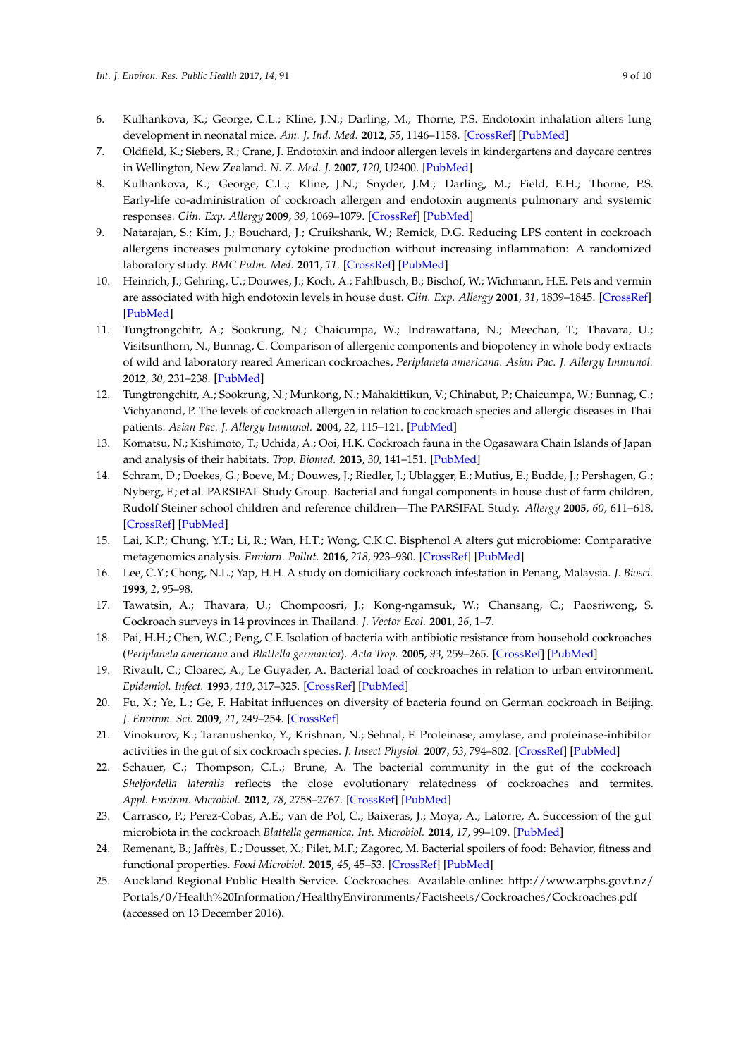- 6. Kulhankova, K.; George, C.L.; Kline, J.N.; Darling, M.; Thorne, P.S. Endotoxin inhalation alters lung development in neonatal mice. *Am. J. Ind. Med.* **2012**, *55*, 1146–1158. [\[CrossRef\]](http://dx.doi.org/10.1002/ajim.22061) [\[PubMed\]](http://www.ncbi.nlm.nih.gov/pubmed/22576659)
- 7. Oldfield, K.; Siebers, R.; Crane, J. Endotoxin and indoor allergen levels in kindergartens and daycare centres in Wellington, New Zealand. *N. Z. Med. J.* **2007**, *120*, U2400. [\[PubMed\]](http://www.ncbi.nlm.nih.gov/pubmed/17277816)
- 8. Kulhankova, K.; George, C.L.; Kline, J.N.; Snyder, J.M.; Darling, M.; Field, E.H.; Thorne, P.S. Early-life co-administration of cockroach allergen and endotoxin augments pulmonary and systemic responses. *Clin. Exp. Allergy* **2009**, *39*, 1069–1079. [\[CrossRef\]](http://dx.doi.org/10.1111/j.1365-2222.2009.03254.x) [\[PubMed\]](http://www.ncbi.nlm.nih.gov/pubmed/19438589)
- 9. Natarajan, S.; Kim, J.; Bouchard, J.; Cruikshank, W.; Remick, D.G. Reducing LPS content in cockroach allergens increases pulmonary cytokine production without increasing inflammation: A randomized laboratory study. *BMC Pulm. Med.* **2011**, *11*. [\[CrossRef\]](http://dx.doi.org/10.1186/1471-2466-11-12) [\[PubMed\]](http://www.ncbi.nlm.nih.gov/pubmed/21345191)
- 10. Heinrich, J.; Gehring, U.; Douwes, J.; Koch, A.; Fahlbusch, B.; Bischof, W.; Wichmann, H.E. Pets and vermin are associated with high endotoxin levels in house dust. *Clin. Exp. Allergy* **2001**, *31*, 1839–1845. [\[CrossRef\]](http://dx.doi.org/10.1046/j.1365-2222.2001.01220.x) [\[PubMed\]](http://www.ncbi.nlm.nih.gov/pubmed/11737034)
- 11. Tungtrongchitr, A.; Sookrung, N.; Chaicumpa, W.; Indrawattana, N.; Meechan, T.; Thavara, U.; Visitsunthorn, N.; Bunnag, C. Comparison of allergenic components and biopotency in whole body extracts of wild and laboratory reared American cockroaches, *Periplaneta americana*. *Asian Pac. J. Allergy Immunol.* **2012**, *30*, 231–238. [\[PubMed\]](http://www.ncbi.nlm.nih.gov/pubmed/23156854)
- 12. Tungtrongchitr, A.; Sookrung, N.; Munkong, N.; Mahakittikun, V.; Chinabut, P.; Chaicumpa, W.; Bunnag, C.; Vichyanond, P. The levels of cockroach allergen in relation to cockroach species and allergic diseases in Thai patients. *Asian Pac. J. Allergy Immunol.* **2004**, *22*, 115–121. [\[PubMed\]](http://www.ncbi.nlm.nih.gov/pubmed/15565948)
- 13. Komatsu, N.; Kishimoto, T.; Uchida, A.; Ooi, H.K. Cockroach fauna in the Ogasawara Chain Islands of Japan and analysis of their habitats. *Trop. Biomed.* **2013**, *30*, 141–151. [\[PubMed\]](http://www.ncbi.nlm.nih.gov/pubmed/23665720)
- 14. Schram, D.; Doekes, G.; Boeve, M.; Douwes, J.; Riedler, J.; Ublagger, E.; Mutius, E.; Budde, J.; Pershagen, G.; Nyberg, F.; et al. PARSIFAL Study Group. Bacterial and fungal components in house dust of farm children, Rudolf Steiner school children and reference children—The PARSIFAL Study. *Allergy* **2005**, *60*, 611–618. [\[CrossRef\]](http://dx.doi.org/10.1111/j.1398-9995.2005.00748.x) [\[PubMed\]](http://www.ncbi.nlm.nih.gov/pubmed/15813805)
- 15. Lai, K.P.; Chung, Y.T.; Li, R.; Wan, H.T.; Wong, C.K.C. Bisphenol A alters gut microbiome: Comparative metagenomics analysis. *Enviorn. Pollut.* **2016**, *218*, 923–930. [\[CrossRef\]](http://dx.doi.org/10.1016/j.envpol.2016.08.039) [\[PubMed\]](http://www.ncbi.nlm.nih.gov/pubmed/27554980)
- 16. Lee, C.Y.; Chong, N.L.; Yap, H.H. A study on domiciliary cockroach infestation in Penang, Malaysia. *J. Biosci.* **1993**, *2*, 95–98.
- 17. Tawatsin, A.; Thavara, U.; Chompoosri, J.; Kong-ngamsuk, W.; Chansang, C.; Paosriwong, S. Cockroach surveys in 14 provinces in Thailand. *J. Vector Ecol.* **2001**, *26*, 1–7.
- 18. Pai, H.H.; Chen, W.C.; Peng, C.F. Isolation of bacteria with antibiotic resistance from household cockroaches (*Periplaneta americana* and *Blattella germanica*). *Acta Trop.* **2005**, *93*, 259–265. [\[CrossRef\]](http://dx.doi.org/10.1016/j.actatropica.2004.11.006) [\[PubMed\]](http://www.ncbi.nlm.nih.gov/pubmed/15716054)
- 19. Rivault, C.; Cloarec, A.; Le Guyader, A. Bacterial load of cockroaches in relation to urban environment. *Epidemiol. Infect.* **1993**, *110*, 317–325. [\[CrossRef\]](http://dx.doi.org/10.1017/S0950268800068254) [\[PubMed\]](http://www.ncbi.nlm.nih.gov/pubmed/8472775)
- 20. Fu, X.; Ye, L.; Ge, F. Habitat influences on diversity of bacteria found on German cockroach in Beijing. *J. Environ. Sci.* **2009**, *21*, 249–254. [\[CrossRef\]](http://dx.doi.org/10.1016/S1001-0742(08)62259-7)
- 21. Vinokurov, K.; Taranushenko, Y.; Krishnan, N.; Sehnal, F. Proteinase, amylase, and proteinase-inhibitor activities in the gut of six cockroach species. *J. Insect Physiol.* **2007**, *53*, 794–802. [\[CrossRef\]](http://dx.doi.org/10.1016/j.jinsphys.2007.02.019) [\[PubMed\]](http://www.ncbi.nlm.nih.gov/pubmed/17512535)
- 22. Schauer, C.; Thompson, C.L.; Brune, A. The bacterial community in the gut of the cockroach *Shelfordella lateralis* reflects the close evolutionary relatedness of cockroaches and termites. *Appl. Environ. Microbiol.* **2012**, *78*, 2758–2767. [\[CrossRef\]](http://dx.doi.org/10.1128/AEM.07788-11) [\[PubMed\]](http://www.ncbi.nlm.nih.gov/pubmed/22327579)
- 23. Carrasco, P.; Perez-Cobas, A.E.; van de Pol, C.; Baixeras, J.; Moya, A.; Latorre, A. Succession of the gut microbiota in the cockroach *Blattella germanica*. *Int. Microbiol.* **2014**, *17*, 99–109. [\[PubMed\]](http://www.ncbi.nlm.nih.gov/pubmed/26418854)
- 24. Remenant, B.; Jaffrès, E.; Dousset, X.; Pilet, M.F.; Zagorec, M. Bacterial spoilers of food: Behavior, fitness and functional properties. *Food Microbiol.* **2015**, *45*, 45–53. [\[CrossRef\]](http://dx.doi.org/10.1016/j.fm.2014.03.009) [\[PubMed\]](http://www.ncbi.nlm.nih.gov/pubmed/25481061)
- 25. Auckland Regional Public Health Service. Cockroaches. Available online: [http://www.arphs.govt.nz/](http://www.arphs.govt.nz/Portals/0/Health%20Information/HealthyEnvironments/Factsheets/Cockroaches/Cockroaches.pdf) [Portals/0/Health%20Information/HealthyEnvironments/Factsheets/Cockroaches/Cockroaches.pdf](http://www.arphs.govt.nz/Portals/0/Health%20Information/HealthyEnvironments/Factsheets/Cockroaches/Cockroaches.pdf) (accessed on 13 December 2016).